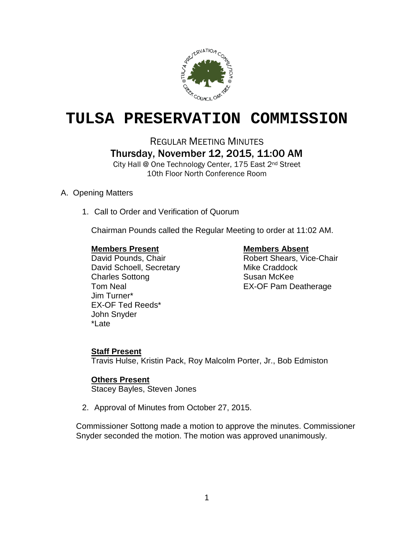

## **TULSA PRESERVATION COMMISSION**

REGULAR MEETING MINUTES Thursday, November 12, 2015, 11:00 AM

City Hall @ One Technology Center, 175 East 2nd Street 10th Floor North Conference Room

### A. Opening Matters

1. Call to Order and Verification of Quorum

Chairman Pounds called the Regular Meeting to order at 11:02 AM.

**Members Present Members Absent**<br>
David Pounds, Chair<br>
Nobert Shears, Vic David Schoell, Secretary Mike Craddock Charles Sottong Susan McKee Jim Turner\* EX-OF Ted Reeds\* John Snyder \*Late

Robert Shears, Vice-Chair Tom Neal **EX-OF Pam Deatherage** 

### **Staff Present**

Travis Hulse, Kristin Pack, Roy Malcolm Porter, Jr., Bob Edmiston

### **Others Present**

Stacey Bayles, Steven Jones

2. Approval of Minutes from October 27, 2015.

Commissioner Sottong made a motion to approve the minutes. Commissioner Snyder seconded the motion. The motion was approved unanimously.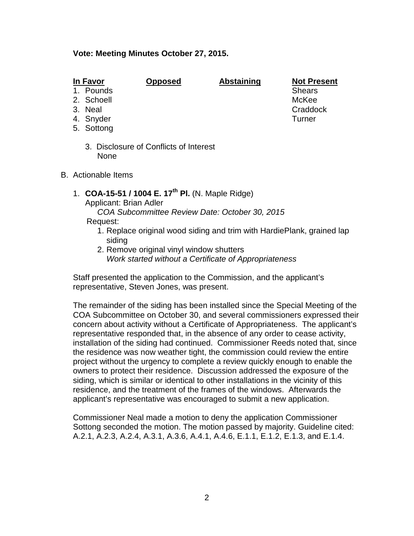### **Vote: Meeting Minutes October 27, 2015.**

- 1. Pounds
- 2. Schoell McKee
- 
- 4. Snyder Turner
- 5. Sottong
	- 3. Disclosure of Conflicts of Interest None
- B. Actionable Items
	- 1. **COA-15-51 / 1004 E. 17th Pl.** (N. Maple Ridge)

Applicant: Brian Adler

*COA Subcommittee Review Date: October 30, 2015*

### Request:

- 1. Replace original wood siding and trim with HardiePlank, grained lap siding
- 2. Remove original vinyl window shutters *Work started without a Certificate of Appropriateness*

Staff presented the application to the Commission, and the applicant's representative, Steven Jones, was present.

The remainder of the siding has been installed since the Special Meeting of the COA Subcommittee on October 30, and several commissioners expressed their concern about activity without a Certificate of Appropriateness. The applicant's representative responded that, in the absence of any order to cease activity, installation of the siding had continued. Commissioner Reeds noted that, since the residence was now weather tight, the commission could review the entire project without the urgency to complete a review quickly enough to enable the owners to protect their residence. Discussion addressed the exposure of the siding, which is similar or identical to other installations in the vicinity of this residence, and the treatment of the frames of the windows. Afterwards the applicant's representative was encouraged to submit a new application.

Commissioner Neal made a motion to deny the application Commissioner Sottong seconded the motion. The motion passed by majority. Guideline cited: A.2.1, A.2.3, A.2.4, A.3.1, A.3.6, A.4.1, A.4.6, E.1.1, E.1.2, E.1.3, and E.1.4.

**In Favor Opposed Abstaining Not Present** 3. Neal Craddock